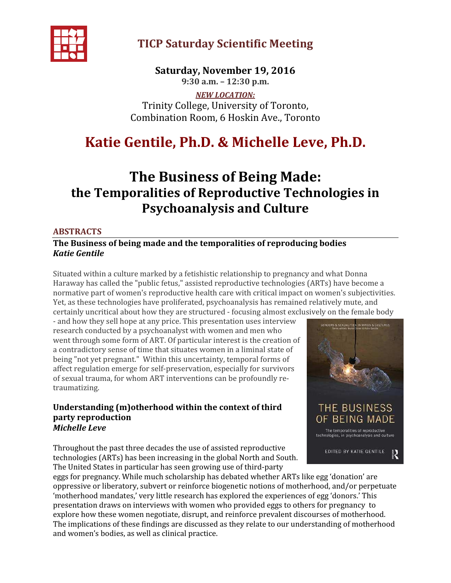

## TICP Saturday Scientific Meeting

Saturday, November 19, 2016 9:30 a.m. – 12:30 p.m.

NEW LOCATION: Trinity College, University of Toronto, Combination Room, 6 Hoskin Ave., Toronto

# Katie Gentile, Ph.D. & Michelle Leve, Ph.D.

# The Business of Being Made: the Temporalities of Reproductive Technologies in Psychoanalysis and Culture

### ABSTRACTS

### The Business of being made and the temporalities of reproducing bodies Katie Gentile

Situated within a culture marked by a fetishistic relationship to pregnancy and what Donna Haraway has called the "public fetus," assisted reproductive technologies (ARTs) have become a normative part of women's reproductive health care with critical impact on women's subjectivities. Yet, as these technologies have proliferated, psychoanalysis has remained relatively mute, and certainly uncritical about how they are structured - focusing almost exclusively on the female body

- and how they sell hope at any price. This presentation uses interview research conducted by a psychoanalyst with women and men who went through some form of ART. Of particular interest is the creation of a contradictory sense of time that situates women in a liminal state of being "not yet pregnant." Within this uncertainty, temporal forms of affect regulation emerge for self-preservation, especially for survivors of sexual trauma, for whom ART interventions can be profoundly retraumatizing.

#### Understanding (m)otherhood within the context of third party reproduction Michelle Leve

Throughout the past three decades the use of assisted reproductive technologies (ARTs) has been increasing in the global North and South. The United States in particular has seen growing use of third-party



eggs for pregnancy. While much scholarship has debated whether ARTs like egg 'donation' are oppressive or liberatory, subvert or reinforce biogenetic notions of motherhood, and/or perpetuate 'motherhood mandates,' very little research has explored the experiences of egg 'donors.' This presentation draws on interviews with women who provided eggs to others for pregnancy to explore how these women negotiate, disrupt, and reinforce prevalent discourses of motherhood. The implications of these findings are discussed as they relate to our understanding of motherhood and women's bodies, as well as clinical practice.